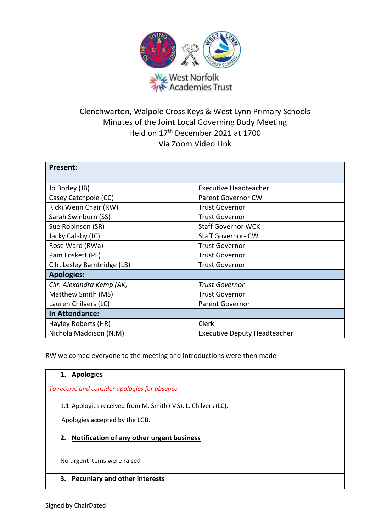

# Clenchwarton, Walpole Cross Keys & West Lynn Primary Schools Minutes of the Joint Local Governing Body Meeting Held on 17th December 2021 at 1700 Via Zoom Video Link

| <b>Present:</b>             |                                     |
|-----------------------------|-------------------------------------|
|                             |                                     |
| Jo Borley (JB)              | <b>Executive Headteacher</b>        |
| Casey Catchpole (CC)        | <b>Parent Governor CW</b>           |
| Ricki Wenn Chair (RW)       | <b>Trust Governor</b>               |
| Sarah Swinburn (SS)         | <b>Trust Governor</b>               |
| Sue Robinson (SR)           | <b>Staff Governor WCK</b>           |
| Jacky Calaby (JC)           | <b>Staff Governor-CW</b>            |
| Rose Ward (RWa)             | <b>Trust Governor</b>               |
| Pam Foskett (PF)            | <b>Trust Governor</b>               |
| Cllr. Lesley Bambridge (LB) | <b>Trust Governor</b>               |
| <b>Apologies:</b>           |                                     |
| Cllr. Alexandra Kemp (AK)   | <b>Trust Governor</b>               |
| Matthew Smith (MS)          | <b>Trust Governor</b>               |
| Lauren Chilvers (LC)        | <b>Parent Governor</b>              |
| In Attendance:              |                                     |
| Hayley Roberts (HR)         | Clerk                               |
| Nichola Maddison (N.M)      | <b>Executive Deputy Headteacher</b> |

RW welcomed everyone to the meeting and introductions were then made

# **1. Apologies**  *To receive and consider apologies for absence* 1.1 Apologies received from M. Smith (MS), L. Chilvers (LC). Apologies accepted by the LGB. **2. Notification of any other urgent business** No urgent items were raised **3. Pecuniary and other interests**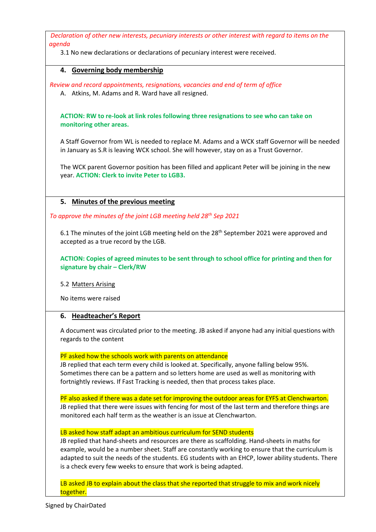*Declaration of other new interests, pecuniary interests or other interest with regard to items on the agenda*

3.1 No new declarations or declarations of pecuniary interest were received.

# **4. Governing body membership**

*Review and record appointments, resignations, vacancies and end of term of office*

A. Atkins, M. Adams and R. Ward have all resigned.

**ACTION: RW to re-look at link roles following three resignations to see who can take on monitoring other areas.**

A Staff Governor from WL is needed to replace M. Adams and a WCK staff Governor will be needed in January as S.R is leaving WCK school. She will however, stay on as a Trust Governor.

The WCK parent Governor position has been filled and applicant Peter will be joining in the new year. **ACTION: Clerk to invite Peter to LGB3.**

# **5. Minutes of the previous meeting**

*To approve the minutes of the joint LGB meeting held 28th Sep 2021*

6.1 The minutes of the joint LGB meeting held on the 28<sup>th</sup> September 2021 were approved and accepted as a true record by the LGB.

**ACTION: Copies of agreed minutes to be sent through to school office for printing and then for signature by chair – Clerk/RW**

5.2 Matters Arising

No items were raised

# **6. Headteacher's Report**

A document was circulated prior to the meeting. JB asked if anyone had any initial questions with regards to the content

#### PF asked how the schools work with parents on attendance

JB replied that each term every child is looked at. Specifically, anyone falling below 95%. Sometimes there can be a pattern and so letters home are used as well as monitoring with fortnightly reviews. If Fast Tracking is needed, then that process takes place.

PF also asked if there was a date set for improving the outdoor areas for EYFS at Clenchwarton. JB replied that there were issues with fencing for most of the last term and therefore things are monitored each half term as the weather is an issue at Clenchwarton.

#### LB asked how staff adapt an ambitious curriculum for SEND students

JB replied that hand-sheets and resources are there as scaffolding. Hand-sheets in maths for example, would be a number sheet. Staff are constantly working to ensure that the curriculum is adapted to suit the needs of the students. EG students with an EHCP, lower ability students. There is a check every few weeks to ensure that work is being adapted.

LB asked JB to explain about the class that she reported that struggle to mix and work nicely together.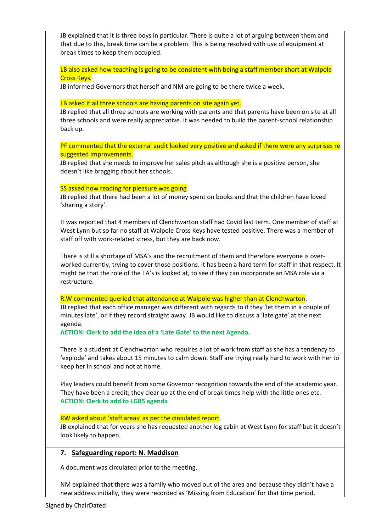JB explained that it is three boys in particular. There is quite a lot of arguing between them and that due to this, break time can be a problem. This is being resolved with use of equipment at break times to keep them occupied.

LB also asked how teaching is going to be consistent with being a staff member short at Walpole Cross Keys.

JB informed Governors that herself and NM are going to be there twice a week.

#### LB asked if all three schools are having parents on site again yet.

JB replied that all three schools are working with parents and that parents have been on site at all three schools and were really appreciative. It was needed to build the parent-school relationship back up.

PF commented that the external audit looked very positive and asked if there were any surprises re suggested improvements.

JB replied that she needs to improve her sales pitch as although she is a positive person, she doesn't like bragging about her schools.

#### SS asked how reading for pleasure was going

JB replied that there had been a lot of money spent on books and that the children have loved 'sharing a story'.

It was reported that 4 members of Clenchwarton staff had Covid last term. One member of staff at West Lynn but so far no staff at Walpole Cross Keys have tested positive. There was a member of staff off with work-related stress, but they are back now.

There is still a shortage of MSA's and the recruitment of them and therefore everyone is overworked currently, trying to cover those positions. It has been a hard term for staff in that respect. It might be that the role of the TA's is looked at, to see if they can incorporate an MSA role via a restructure.

#### R.W commented queried that attendance at Walpole was higher than at Clenchwarton.

JB replied that each office manager was different with regards to if they 'let them in a couple of minutes late', or if they record straight away. JB would like to discuss a 'late gate' at the next agenda.

**ACTION: Clerk to add the idea of a 'Late Gate' to the next Agenda.**

There is a student at Clenchwarton who requires a lot of work from staff as she has a tendency to 'explode' and takes about 15 minutes to calm down. Staff are trying really hard to work with her to keep her in school and not at home.

Play leaders could benefit from some Governor recognition towards the end of the academic year. They have been a credit; they clear up at the end of break times help with the little ones etc. **ACTION: Clerk to add to LGB5 agenda**

# RW asked about 'staff areas' as per the circulated report.

JB explained that for years she has requested another log cabin at West Lynn for staff but it doesn't look likely to happen.

# **7. Safeguarding report: N. Maddison**

A document was circulated prior to the meeting.

NM explained that there was a family who moved out of the area and because they didn't have a new address initially, they were recorded as 'Missing from Education' for that time period.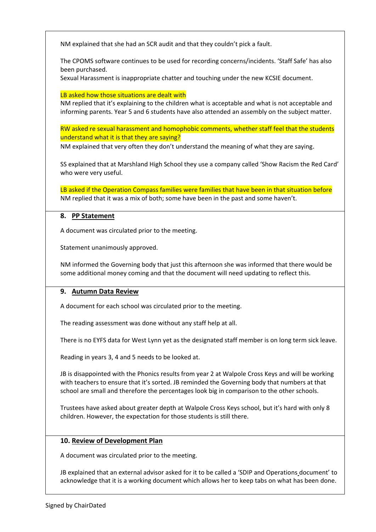NM explained that she had an SCR audit and that they couldn't pick a fault.

The CPOMS software continues to be used for recording concerns/incidents. 'Staff Safe' has also been purchased.

Sexual Harassment is inappropriate chatter and touching under the new KCSIE document.

#### LB asked how those situations are dealt with

NM replied that it's explaining to the children what is acceptable and what is not acceptable and informing parents. Year 5 and 6 students have also attended an assembly on the subject matter.

# RW asked re sexual harassment and homophobic comments, whether staff feel that the students understand what it is that they are saying?

NM explained that very often they don't understand the meaning of what they are saying.

SS explained that at Marshland High School they use a company called 'Show Racism the Red Card' who were very useful.

LB asked if the Operation Compass families were families that have been in that situation before NM replied that it was a mix of both; some have been in the past and some haven't.

# **8. PP Statement**

A document was circulated prior to the meeting.

Statement unanimously approved.

NM informed the Governing body that just this afternoon she was informed that there would be some additional money coming and that the document will need updating to reflect this.

# **9. Autumn Data Review**

A document for each school was circulated prior to the meeting.

The reading assessment was done without any staff help at all.

There is no EYFS data for West Lynn yet as the designated staff member is on long term sick leave.

Reading in years 3, 4 and 5 needs to be looked at.

JB is disappointed with the Phonics results from year 2 at Walpole Cross Keys and will be working with teachers to ensure that it's sorted. JB reminded the Governing body that numbers at that school are small and therefore the percentages look big in comparison to the other schools.

Trustees have asked about greater depth at Walpole Cross Keys school, but it's hard with only 8 children. However, the expectation for those students is still there.

# **10. Review of Development Plan**

A document was circulated prior to the meeting.

JB explained that an external advisor asked for it to be called a 'SDIP and Operations document' to acknowledge that it is a working document which allows her to keep tabs on what has been done.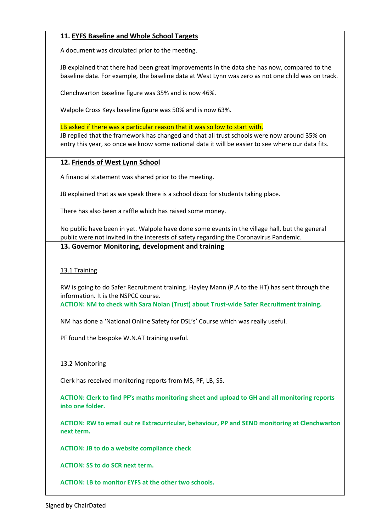# **11. EYFS Baseline and Whole School Targets**

A document was circulated prior to the meeting.

JB explained that there had been great improvements in the data she has now, compared to the baseline data. For example, the baseline data at West Lynn was zero as not one child was on track.

Clenchwarton baseline figure was 35% and is now 46%.

Walpole Cross Keys baseline figure was 50% and is now 63%.

LB asked if there was a particular reason that it was so low to start with.

JB replied that the framework has changed and that all trust schools were now around 35% on entry this year, so once we know some national data it will be easier to see where our data fits.

# **12. Friends of West Lynn School**

A financial statement was shared prior to the meeting.

JB explained that as we speak there is a school disco for students taking place.

There has also been a raffle which has raised some money.

No public have been in yet. Walpole have done some events in the village hall, but the general public were not invited in the interests of safety regarding the Coronavirus Pandemic.

#### **13. Governor Monitoring, development and training**

#### 13.1 Training

RW is going to do Safer Recruitment training. Hayley Mann (P.A to the HT) has sent through the information. It is the NSPCC course.

**ACTION: NM to check with Sara Nolan (Trust) about Trust-wide Safer Recruitment training.**

NM has done a 'National Online Safety for DSL's' Course which was really useful.

PF found the bespoke W.N.AT training useful.

#### 13.2 Monitoring

Clerk has received monitoring reports from MS, PF, LB, SS.

**ACTION: Clerk to find PF's maths monitoring sheet and upload to GH and all monitoring reports into one folder.** 

**ACTION: RW to email out re Extracurricular, behaviour, PP and SEND monitoring at Clenchwarton next term.**

**ACTION: JB to do a website compliance check**

**ACTION: SS to do SCR next term.**

**ACTION: LB to monitor EYFS at the other two schools.**